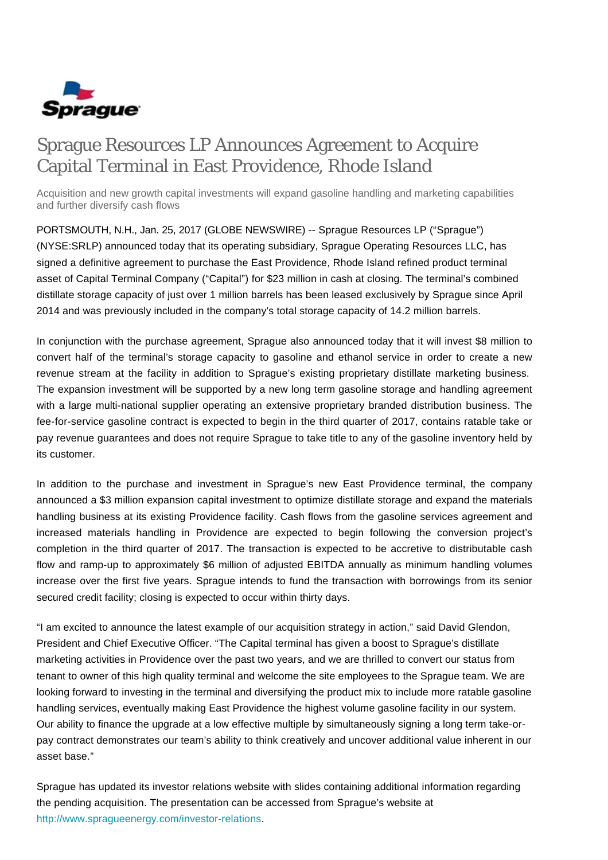

# Sprague Resources LP Announces Agreement to Acquire Capital Terminal in East Providence, Rhode Island

Acquisition and new growth capital investments will expand gasoline handling and marketing capabilities and further diversify cash flows

PORTSMOUTH, N.H., Jan. 25, 2017 (GLOBE NEWSWIRE) -- Sprague Resources LP ("Sprague") (NYSE:SRLP) announced today that its operating subsidiary, Sprague Operating Resources LLC, has signed a definitive agreement to purchase the East Providence, Rhode Island refined product terminal asset of Capital Terminal Company ("Capital") for \$23 million in cash at closing. The terminal's combined distillate storage capacity of just over 1 million barrels has been leased exclusively by Sprague since April 2014 and was previously included in the company's total storage capacity of 14.2 million barrels.

In conjunction with the purchase agreement, Sprague also announced today that it will invest \$8 million to convert half of the terminal's storage capacity to gasoline and ethanol service in order to create a new revenue stream at the facility in addition to Sprague's existing proprietary distillate marketing business. The expansion investment will be supported by a new long term gasoline storage and handling agreement with a large multi-national supplier operating an extensive proprietary branded distribution business. The fee-for-service gasoline contract is expected to begin in the third quarter of 2017, contains ratable take or pay revenue guarantees and does not require Sprague to take title to any of the gasoline inventory held by its customer.

In addition to the purchase and investment in Sprague's new East Providence terminal, the company announced a \$3 million expansion capital investment to optimize distillate storage and expand the materials handling business at its existing Providence facility. Cash flows from the gasoline services agreement and increased materials handling in Providence are expected to begin following the conversion project's completion in the third quarter of 2017. The transaction is expected to be accretive to distributable cash flow and ramp-up to approximately \$6 million of adjusted EBITDA annually as minimum handling volumes increase over the first five years. Sprague intends to fund the transaction with borrowings from its senior secured credit facility; closing is expected to occur within thirty days.

"I am excited to announce the latest example of our acquisition strategy in action," said David Glendon, President and Chief Executive Officer. "The Capital terminal has given a boost to Sprague's distillate marketing activities in Providence over the past two years, and we are thrilled to convert our status from tenant to owner of this high quality terminal and welcome the site employees to the Sprague team. We are looking forward to investing in the terminal and diversifying the product mix to include more ratable gasoline handling services, eventually making East Providence the highest volume gasoline facility in our system. Our ability to finance the upgrade at a low effective multiple by simultaneously signing a long term take-orpay contract demonstrates our team's ability to think creatively and uncover additional value inherent in our asset base."

Sprague has updated its investor relations website with slides containing additional information regarding the pending acquisition. The presentation can be accessed from Sprague's website at [http://www.spragueenergy.com/investor-relations.](http://www.spragueenergy.com/investor-relations)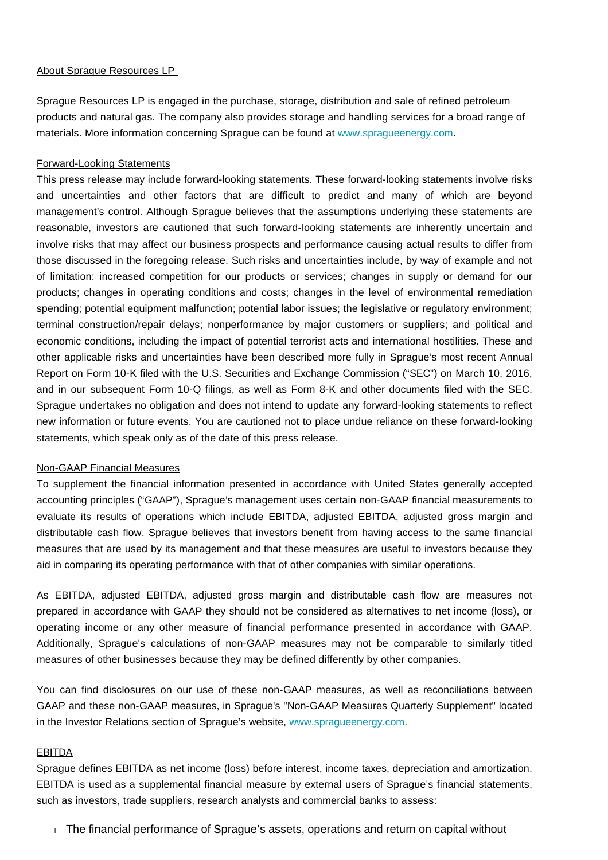## About Sprague Resources LP

Sprague Resources LP is engaged in the purchase, storage, distribution and sale of refined petroleum products and natural gas. The company also provides storage and handling services for a broad range of materials. More information concerning Sprague can be found at [www.spragueenergy.com](http://www.spragueenergy.com/).

# Forward-Looking Statements

This press release may include forward-looking statements. These forward-looking statements involve risks and uncertainties and other factors that are difficult to predict and many of which are beyond management's control. Although Sprague believes that the assumptions underlying these statements are reasonable, investors are cautioned that such forward-looking statements are inherently uncertain and involve risks that may affect our business prospects and performance causing actual results to differ from those discussed in the foregoing release. Such risks and uncertainties include, by way of example and not of limitation: increased competition for our products or services; changes in supply or demand for our products; changes in operating conditions and costs; changes in the level of environmental remediation spending; potential equipment malfunction; potential labor issues; the legislative or regulatory environment; terminal construction/repair delays; nonperformance by major customers or suppliers; and political and economic conditions, including the impact of potential terrorist acts and international hostilities. These and other applicable risks and uncertainties have been described more fully in Sprague's most recent Annual Report on Form 10-K filed with the U.S. Securities and Exchange Commission ("SEC") on March 10, 2016, and in our subsequent Form 10-Q filings, as well as Form 8-K and other documents filed with the SEC. Sprague undertakes no obligation and does not intend to update any forward-looking statements to reflect new information or future events. You are cautioned not to place undue reliance on these forward-looking statements, which speak only as of the date of this press release.

# Non-GAAP Financial Measures

To supplement the financial information presented in accordance with United States generally accepted accounting principles ("GAAP"), Sprague's management uses certain non-GAAP financial measurements to evaluate its results of operations which include EBITDA, adjusted EBITDA, adjusted gross margin and distributable cash flow. Sprague believes that investors benefit from having access to the same financial measures that are used by its management and that these measures are useful to investors because they aid in comparing its operating performance with that of other companies with similar operations.

As EBITDA, adjusted EBITDA, adjusted gross margin and distributable cash flow are measures not prepared in accordance with GAAP they should not be considered as alternatives to net income (loss), or operating income or any other measure of financial performance presented in accordance with GAAP. Additionally, Sprague's calculations of non-GAAP measures may not be comparable to similarly titled measures of other businesses because they may be defined differently by other companies.

You can find disclosures on our use of these non-GAAP measures, as well as reconciliations between GAAP and these non-GAAP measures, in Sprague's "Non-GAAP Measures Quarterly Supplement" located in the Investor Relations section of Sprague's website, [www.spragueenergy.com.](http://www.spragueenergy.com/)

### EBITDA

Sprague defines EBITDA as net income (loss) before interest, income taxes, depreciation and amortization. EBITDA is used as a supplemental financial measure by external users of Sprague's financial statements, such as investors, trade suppliers, research analysts and commercial banks to assess:

The financial performance of Sprague's assets, operations and return on capital without